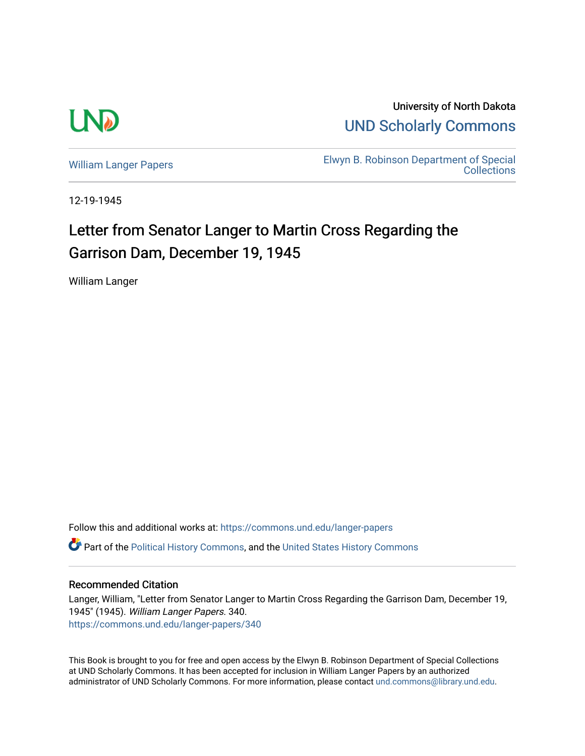

University of North Dakota [UND Scholarly Commons](https://commons.und.edu/) 

[William Langer Papers](https://commons.und.edu/langer-papers) **Elwyn B. Robinson Department of Special** [Collections](https://commons.und.edu/archives) 

12-19-1945

## Letter from Senator Langer to Martin Cross Regarding the Garrison Dam, December 19, 1945

William Langer

Follow this and additional works at: [https://commons.und.edu/langer-papers](https://commons.und.edu/langer-papers?utm_source=commons.und.edu%2Flanger-papers%2F340&utm_medium=PDF&utm_campaign=PDFCoverPages)  **C** Part of the [Political History Commons,](https://network.bepress.com/hgg/discipline/505?utm_source=commons.und.edu%2Flanger-papers%2F340&utm_medium=PDF&utm_campaign=PDFCoverPages) and the [United States History Commons](https://network.bepress.com/hgg/discipline/495?utm_source=commons.und.edu%2Flanger-papers%2F340&utm_medium=PDF&utm_campaign=PDFCoverPages)

## Recommended Citation

Langer, William, "Letter from Senator Langer to Martin Cross Regarding the Garrison Dam, December 19, 1945" (1945). William Langer Papers. 340. [https://commons.und.edu/langer-papers/340](https://commons.und.edu/langer-papers/340?utm_source=commons.und.edu%2Flanger-papers%2F340&utm_medium=PDF&utm_campaign=PDFCoverPages) 

This Book is brought to you for free and open access by the Elwyn B. Robinson Department of Special Collections at UND Scholarly Commons. It has been accepted for inclusion in William Langer Papers by an authorized administrator of UND Scholarly Commons. For more information, please contact [und.commons@library.und.edu.](mailto:und.commons@library.und.edu)